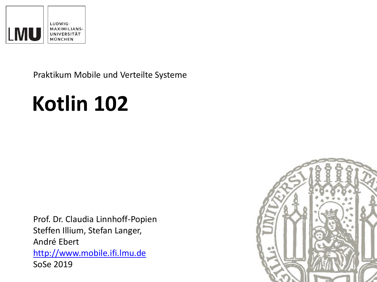

Praktikum Mobile und Verteilte Systeme

# **Kotlin 102**

Prof. Dr. Claudia Linnhoff-Popien Steffen Illium, Stefan Langer, André Ebert [http://www.mobile.ifi.lmu.de](http://www.mobile.ifi.lmu.de/) SoSe 2019

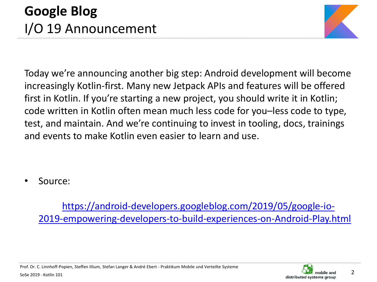

Today we're announcing another big step: Android development will become increasingly Kotlin-first. Many new Jetpack APIs and features will be offered first in Kotlin. If you're starting a new project, you should write it in Kotlin; code written in Kotlin often mean much less code for you–less code to type, test, and maintain. And we're continuing to invest in tooling, docs, trainings and events to make Kotlin even easier to learn and use.

• Source:

https://android-developers.googleblog.com/2019/05/google-io-[2019-empowering-developers-to-build-experiences-on-Android-Play.html](https://android-developers.googleblog.com/2019/05/google-io-2019-empowering-developers-to-build-experiences-on-Android-Play.html)



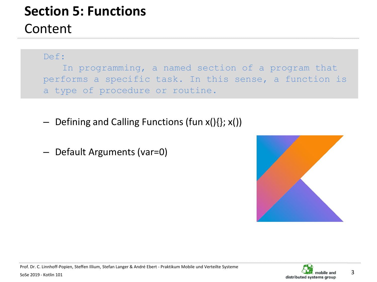# **Section 5: Functions**

#### Content

Def:

In programming, a named section of a program that performs a specific task. In this sense, a function is a type of procedure or routine.

- $-$  Defining and Calling Functions (fun  $x()$ {};  $x()$ )
- Default Arguments (var=0)



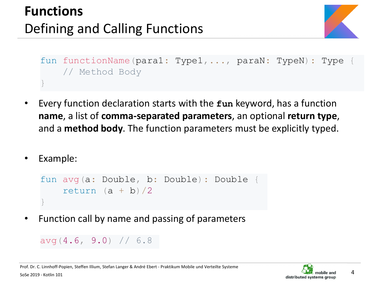# **Functions** Defining and Calling Functions



```
fun functionName(para1: Type1, ..., paraN: TypeN): Type
    // Method Body
}
```
- Every function declaration starts with the **fun** keyword, has a function **name**, a list of **comma-separated parameters**, an optional **return type**, and a **method body**. The function parameters must be explicitly typed.
- Example:

```
fun avg(a: Double, b: Double): Double {
    return (a + b)/2}
```
• Function call by name and passing of parameters

```
avg(4.6, 9.0) // 6.8
```
4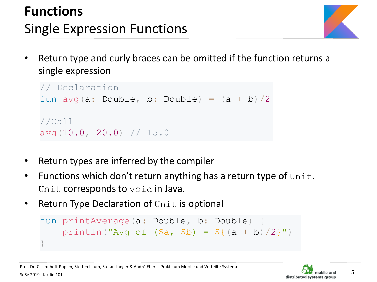# **Functions** Single Expression Functions

• Return type and curly braces can be omitted if the function returns a single expression

```
// Declaration
fun avg(a: Double, b: Double) = (a + b)/2//Call
avg(10.0, 20.0) // 15.0
```
- Return types are inferred by the compiler
- Functions which don't return anything has a return type of  $Unit$ . Unit corresponds to void in Java.
- **Return Type Declaration of Unit is optional**

```
fun printAverage(a: Double, b: Double) {
     println("Avg of (\frac{5}{4}, \frac{5}{8}) = \frac{5}{4} (a + b) / 2")
}
```
5

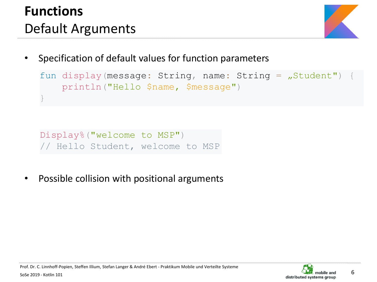# **Functions** Default Arguments



Specification of default values for function parameters

```
fun display(message: String, name: String = \sqrt{s}tudent")
    println("Hello $name, $message")
}
```

```
Display%("welcome to MSP")
// Hello Student, welcome to MSP
```
Possible collision with positional arguments

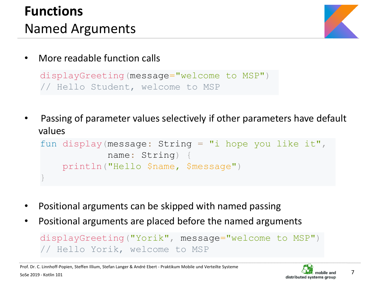# **Functions** Named Arguments



• More readable function calls

```
displayGreeting(message="welcome to MSP")
// Hello Student, welcome to MSP
```
• Passing of parameter values selectively if other parameters have default values

```
fun display(message: String = "i hope you like it"
,
            name: String)
   println("Hello $name, $message")
}
```
- Positional arguments can be skipped with named passing
- Positional arguments are placed before the named arguments

```
displayGreeting("Yorik"
, message="welcome to MSP")
// Hello Yorik, welcome to MSP
```
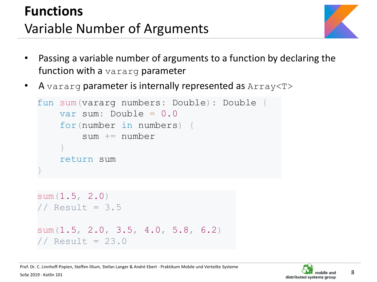# **Functions** Variable Number of Arguments



- Passing a variable number of arguments to a function by declaring the function with a vararg parameter
- A vararg parameter is internally represented as Array<T>

```
fun sum(vararg numbers: Double): Double {
    var sum: Double = 0.0
    for(number in numbers) {
        sum += number
    }
    return sum
}
```

```
sum(1.5, 2.0)
\frac{1}{2} Result = 3.5
sum(1.5, 2.0, 3.5, 4.0, 5.8, 6.2)
// Result = 23.0
```
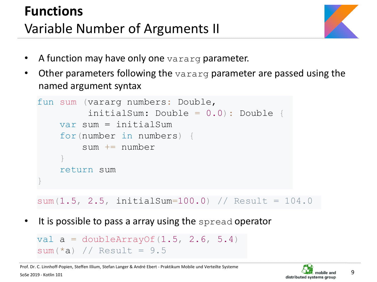# **Functions** Variable Number of Arguments II



- A function may have only one vararg parameter.
- Other parameters following the vararg parameter are passed using the named argument syntax

```
fun sum (vararg numbers: Double, 
         initialSum: Double = 0.0): Double {
    var sum = initialSum
    for(number in numbers) {
        sum += number
    }
    return sum
}
```
 $sum(1.5, 2.5, initialSum=100.0)$  // Result = 104.0

It is possible to pass a array using the spread operator

```
val a = doubleArrayOf(1.5, 2.6, 5.4)sum(*a) // Result = 9.5
```
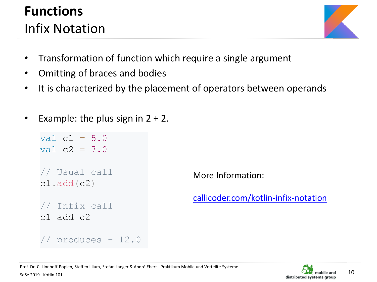## **Functions** Infix Notation



- Transformation of function which require a single argument
- Omitting of braces and bodies
- It is characterized by the placement of operators between operands
- Example: the plus sign in  $2 + 2$ .

```
val c1 = 5.0val c2 = 7.0// Usual call
c1.add(c2)
// Infix call
c1 add c2 
// produces - 12.0
```
More Information:

[callicoder.com/kotlin-infix-notation](https://www.callicoder.com/kotlin-infix-notation/)

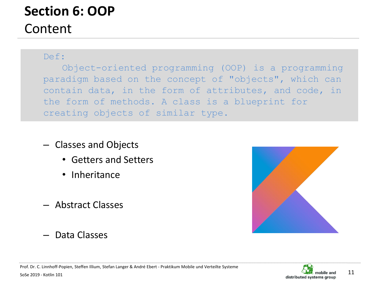#### **Section 6: OOP** Content

#### Def:

Object-oriented programming (OOP) is a programming paradigm based on the concept of "objects", which can contain data, in the form of attributes, and code, in the form of methods. A class is a blueprint for creating objects of similar type.

- Classes and Objects
	- Getters and Setters
	- Inheritance
- Abstract Classes
- Data Classes

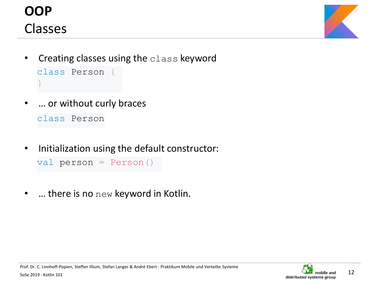



- Creating classes using the class keyword class Person { }
- … or without curly braces

class Person

Initialization using the default constructor:

```
val person = Person()
```
 $\dots$  there is no  $new$  keyword in Kotlin.

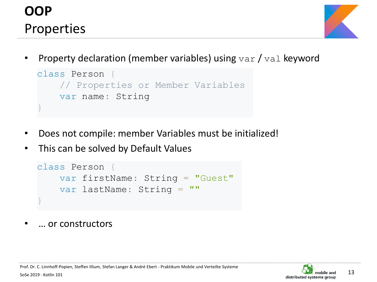## **OOP** Properties



Property declaration (member variables) using  $var / val$  keyword

```
class Person {
    // Properties or Member Variables
    var name: String 
}
```
- Does not compile: member Variables must be initialized!
- This can be solved by Default Values

```
class Person {
    var firstName: String = "Guest"
    var lastName: String = ""
}
```
• … or constructors

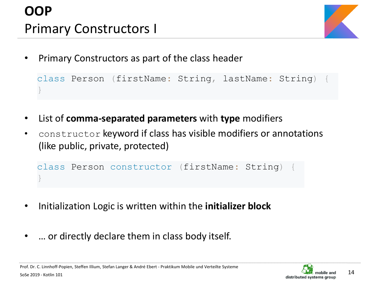# **OOP** Primary Constructors I



• Primary Constructors as part of the class header

class Person (firstName: String, lastName: String) { }

- List of **comma-separated parameters** with **type** modifiers
- constructor keyword if class has visible modifiers or annotations (like public, private, protected)

class Person constructor (firstName: String) { }

- Initialization Logic is written within the **initializer block**
- ... or directly declare them in class body itself.

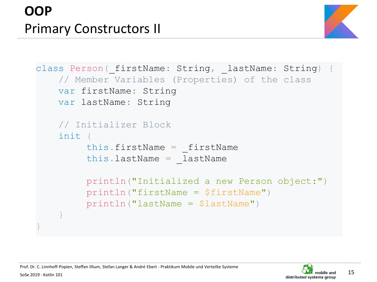

```
class Person ( firstName: String, lastName: String) {
    // Member Variables (Properties) of the class
   var firstName: String 
   var lastName: String 
    // Initializer Block
    init {
         this.firstName = firstNamethis.lastName = lastName
         println("Initialized a new Person object:")
         println("firstName = $firstName")
         println("lastName = $lastName")
    }
}
```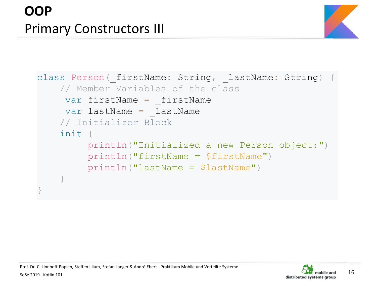

```
class Person ( firstName: String, lastName: String) {
    // Member Variables of the class
    var firstName = firstName
    var lastName = lastName
    // Initializer Block
    init {
         println("Initialized a new Person object:")
         println("firstName = $firstName")
         println("lastName = $lastName")
    }
}
```
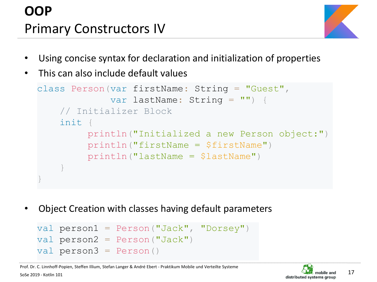# **OOP** Primary Constructors IV



- Using concise syntax for declaration and initialization of properties
- This can also include default values

```
class Person(var firstName: String = "Guest",
             var lastName: String = "") {
    // Initializer Block
    init {
         println("Initialized a new Person object:")
         println("firstName = $firstName")
         println("lastName = $lastName")
    }
}
```
• Object Creation with classes having default parameters

```
val person1 = Person("Jack", "Dorsey")
val person2 = Person("Jack")val person3 = Person()
```
Prof. Dr. C. Linnhoff-Popien, Steffen Illium, Stefan Langer & André Ebert - Praktikum Mobile und Verteilte Systeme

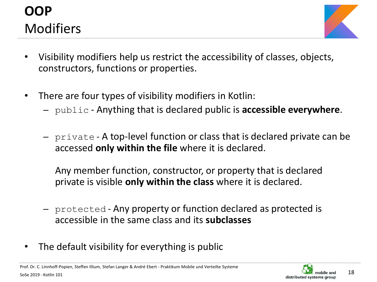### **OOP** Modifiers



- Visibility modifiers help us restrict the accessibility of classes, objects, constructors, functions or properties.
- There are four types of visibility modifiers in Kotlin:
	- public Anything that is declared public is **accessible everywhere**.
	- private A top-level function or class that is declared private can be accessed **only within the file** where it is declared.

Any member function, constructor, or property that is declared private is visible **only within the class** where it is declared.

- protected Any property or function declared as protected is accessible in the same class and its **subclasses**
- The default visibility for everything is public

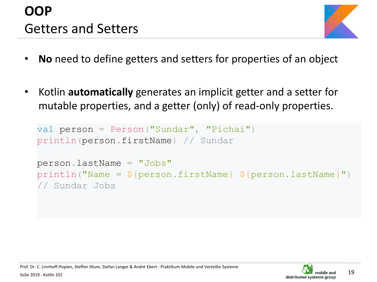# **OOP** Getters and Setters



- **No** need to define getters and setters for properties of an object
- Kotlin **automatically** generates an implicit getter and a setter for mutable properties, and a getter (only) of read-only properties.

```
val person = Person ("Sundar", "Pichai")
println(person.firstName) // Sundar
person.lastName = "Jobs"
println("Name = ${person}.firstName} ${person}.lastName")
// Sundar Jobs
```
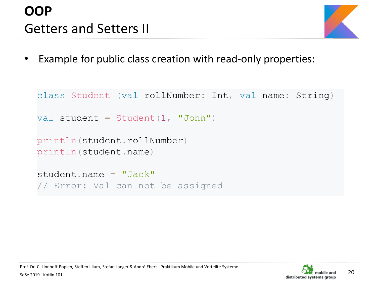# **OOP** Getters and Setters II



Example for public class creation with read-only properties:

```
class Student (val rollNumber: Int, val name: String)
val student = Student(1, "John")println(student.rollNumber)
println(student.name)
student.name = "Jack"
// Error: Val can not be assigned
```
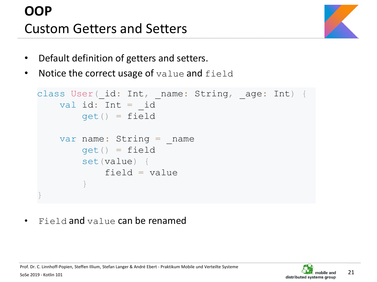# **OOP** Custom Getters and Setters



- Default definition of getters and setters.
- Notice the correct usage of value and field

```
class User(id: Int, name: String, age: Int) {
   val id: Int = idget() = fieldvar name: String = name
       qet() = fieldset(value) {
           field = value}
}
```
Field and value can be renamed

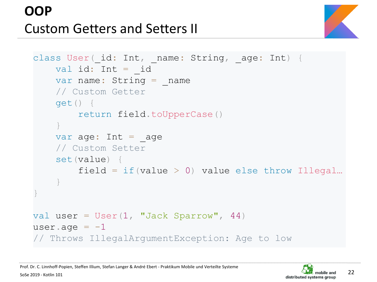# **OOP** Custom Getters and Setters II



```
class User(id: Int, name: String, age: Int) {
    val id: Int = idvar name: String = name
    // Custom Getter
    get() {
        return field.toUpperCase()
    }
    var age: Int = age// Custom Setter
    set(value) {
        field = if(value > 0) value else throw Illegal...
    }
}
val user = User(1, "Jack Sparrow", 44)user.age = -1// Throws IllegalArgumentException: Age to low
```
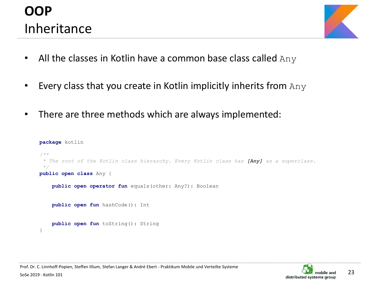### **OOP** Inheritance



- All the classes in Kotlin have a common base class called  $Any$
- Every class that you create in Kotlin implicitly inherits from  $Any$
- There are three methods which are always implemented:

```
package kotlin
/**
 * The root of the Kotlin class hierarchy. Every Kotlin class has [Any] as a superclass.
 */
public open class Any {
    public open operator fun equals(other: Any?): Boolean
    public open fun hashCode(): Int
    public open fun toString(): String
}
```
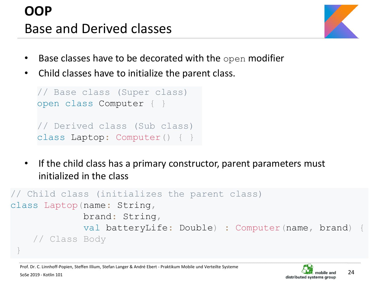# **OOP** Base and Derived classes



- Base classes have to be decorated with the open modifier
- Child classes have to initialize the parent class.

```
// Base class (Super class)
open class Computer { }
// Derived class (Sub class)
class Laptop: Computer() { }
```
• If the child class has a primary constructor, parent parameters must initialized in the class

```
// Child class (initializes the parent class)
class Laptop(name: String,
             brand: String,
             val batteryLife: Double) : Computer(name, brand) {
    // Class Body
 }
```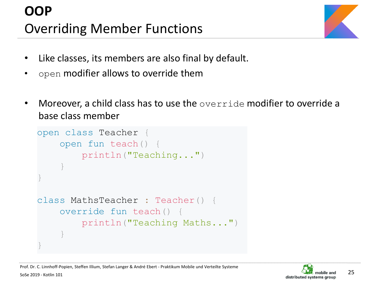

- Like classes, its members are also final by default.
- open modifier allows to override them
- Moreover, a child class has to use the override modifier to override a base class member

```
open class Teacher {
    open fun teach() {
        println("Teaching...")
    }
}
class MathsTeacher : Teacher() {
    override fun teach() {
        println("Teaching Maths...")
    }
}
```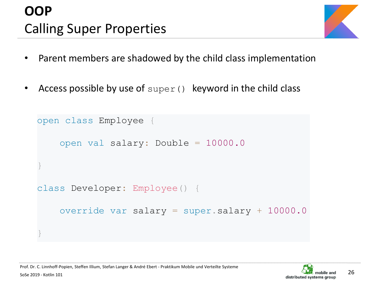# **OOP** Calling Super Properties



- Parent members are shadowed by the child class implementation
- Access possible by use of  $super()$  keyword in the child class

```
open class Employee {
    open val salary: Double = 10000.0
}
class Developer: Employee() {
    override var salary = super.salary + 10000.0
}
```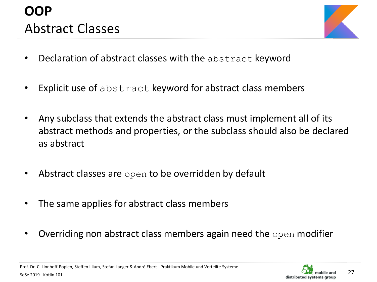# **OOP** Abstract Classes



- Declaration of abstract classes with the abstract keyword
- Explicit use of abstract keyword for abstract class members
- Any subclass that extends the abstract class must implement all of its abstract methods and properties, or the subclass should also be declared as abstract
- Abstract classes are open to be overridden by default
- The same applies for abstract class members
- Overriding non abstract class members again need the open modifier

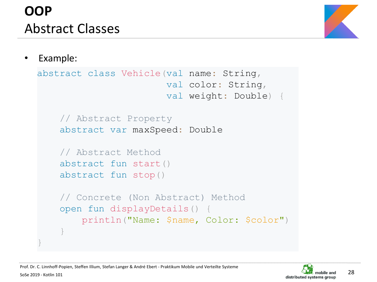# **OOP** Abstract Classes



#### • Example:

SoSe 2019 - Kotlin 101

}

```
abstract class Vehicle(val name: String,
                       val color: String,
                       val weight: Double) {
    // Abstract Property
    abstract var maxSpeed: Double 
    // Abstract Method
    abstract fun start()
    abstract fun stop()
    // Concrete (Non Abstract) Method
    open fun displayDetails() {
        println("Name: $name, Color: $color")
    }
```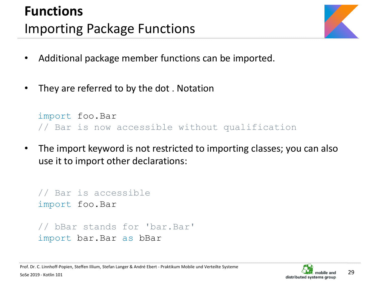# **Functions** Importing Package Functions



- Additional package member functions can be imported.
- They are referred to by the dot. Notation

```
import foo.Bar
// Bar is now accessible without qualification
```
• The import keyword is not restricted to importing classes; you can also use it to import other declarations:

```
// Bar is accessible
import foo.Bar
// bBar stands for 'bar.Bar'
import bar.Bar as bBar
```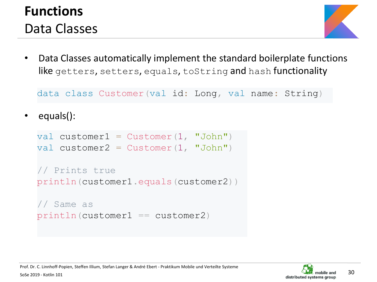### **Functions** Data Classes



• Data Classes automatically implement the standard boilerplate functions like getters, setters, equals, toString and hash functionality

data class Customer(val id: Long, val name: String)

equals():

```
val customer1 = Customer(1, "John")val customer2 = \text{Customer}(1, \text{ "John"})// Prints true
println(customer1.equals(customer2))
// Same as
println(customer1 == customer2)
```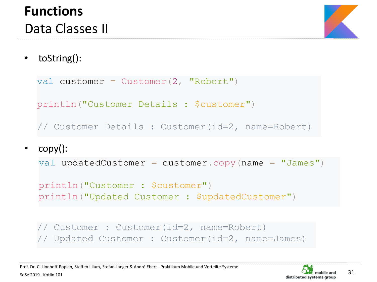

• toString():

```
val customer = \text{Customer}(2, \text{ "Robert"})println("Customer Details : $customer")
// Customer Details : Customer(id=2, name=Robert)
```
• copy():

```
val updatedCustomer = \text{customer}.\text{copy}(\text{name} = "James")
```

```
println("Customer : $customer")
println("Updated Customer : $updatedCustomer")
```

```
// Customer : Customer(id=2, name=Robert) 
// Updated Customer : Customer(id=2, name=James)
```